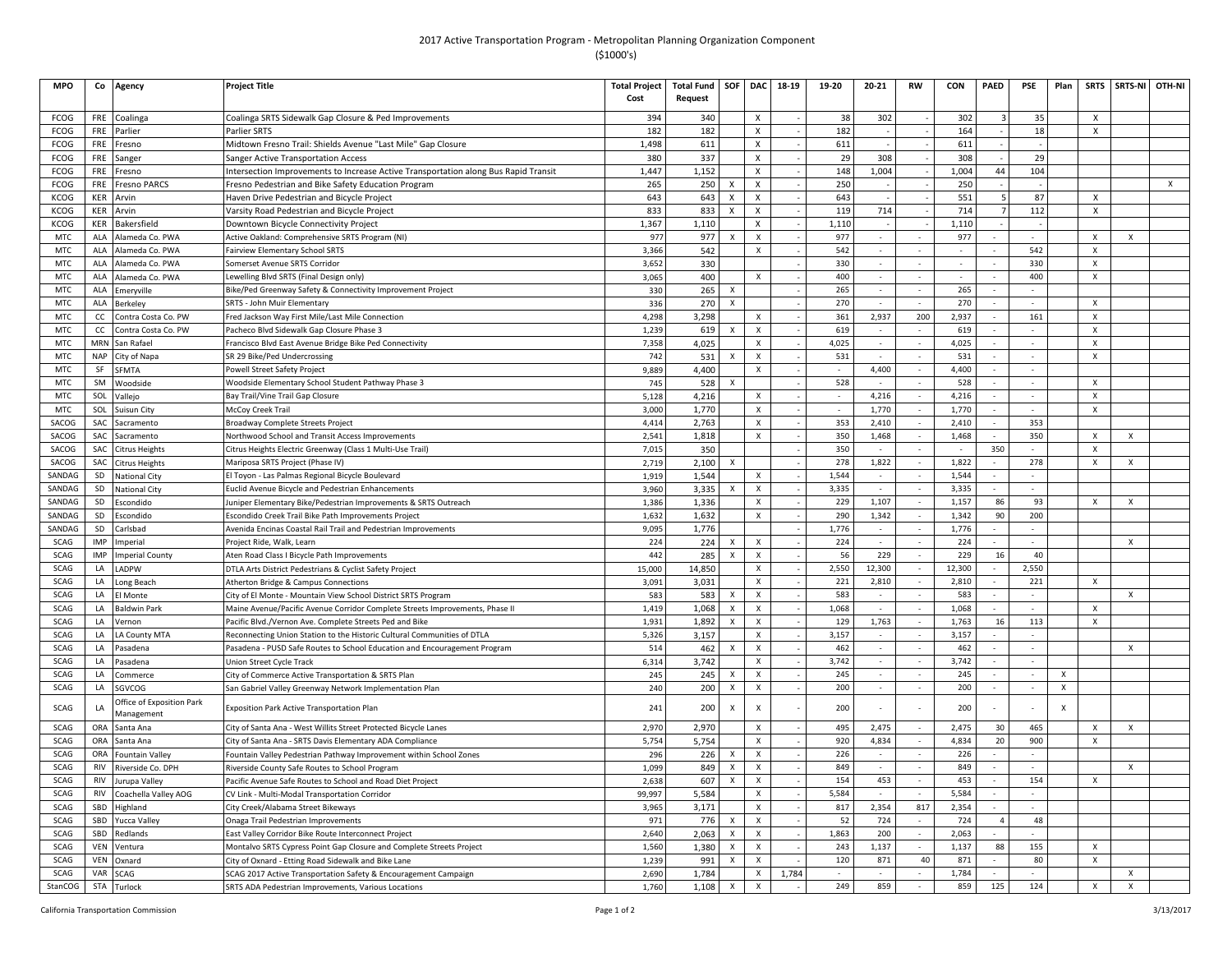## 2017 Active Transportation Program - Metropolitan Planning Organization Component (\$1000's)

| <b>MPO</b>      | Co         | Agency                                  | Project Title                                                                                                                | <b>Total Project</b><br>Cost | <b>Total Fund</b><br>Request | SOF                       | <b>DAC</b>                | 18-19 | 19-20                    | $20 - 21$                | <b>RW</b>                | <b>CON</b>     | PAED                        | PSE                      | Plan | <b>SRTS</b>               | <b>SRTS-NI</b>            | OTH-NI       |
|-----------------|------------|-----------------------------------------|------------------------------------------------------------------------------------------------------------------------------|------------------------------|------------------------------|---------------------------|---------------------------|-------|--------------------------|--------------------------|--------------------------|----------------|-----------------------------|--------------------------|------|---------------------------|---------------------------|--------------|
| FCOG            | FRE        | Coalinga                                | Coalinga SRTS Sidewalk Gap Closure & Ped Improvements                                                                        | 394                          | 340                          |                           | X                         |       | 38                       | 302                      |                          | 302            | $\mathbf{3}$                | 35                       |      | $\mathsf{x}$              |                           |              |
| <b>FCOG</b>     | FRE        | Parlier                                 | Parlier SRTS                                                                                                                 | 182                          | 182                          |                           | $\boldsymbol{\mathsf{x}}$ |       | 182                      |                          |                          | 164            |                             | 18                       |      | $\boldsymbol{\mathsf{x}}$ |                           |              |
| <b>FCOG</b>     | FRE        | Fresno                                  | Midtown Fresno Trail: Shields Avenue "Last Mile" Gap Closure                                                                 | 1,498                        | 611                          |                           | Х                         |       | 611                      |                          |                          | 611            |                             |                          |      |                           |                           |              |
| FCOG            | FRE        | Sanger                                  | Sanger Active Transportation Access                                                                                          | 380                          | 337                          |                           | $\pmb{\times}$            |       | 29                       | 308                      |                          | 308            |                             | 29                       |      |                           |                           |              |
| FCOG            | <b>FRE</b> | Fresno                                  | Intersection Improvements to Increase Active Transportation along Bus Rapid Transit                                          | 1,447                        | 1,152                        |                           | $\pmb{\times}$            |       | 148                      | 1,004                    |                          | 1,004          | 44                          | 104                      |      |                           |                           |              |
| FCOG            | FRE        | <b>Fresno PARCS</b>                     | Fresno Pedestrian and Bike Safety Education Program                                                                          | 265                          | 250                          | $\boldsymbol{\mathsf{x}}$ | $\pmb{\chi}$              |       | 250                      |                          |                          | 250            |                             |                          |      |                           |                           | $\mathsf{x}$ |
| <b>KCOG</b>     | <b>KER</b> | Arvin                                   | Haven Drive Pedestrian and Bicycle Project                                                                                   | 643                          | 643                          | X                         | $\boldsymbol{\mathsf{x}}$ |       | 643                      |                          |                          | 551            | .5                          | 87                       |      | X                         |                           |              |
| KCOG            | KER        | Arvin                                   | Varsity Road Pedestrian and Bicycle Project                                                                                  | 833                          | 833                          | X                         | $\pmb{\chi}$              |       | 119                      | 714                      |                          | 714            | $\overline{7}$              | 112                      |      | X                         |                           |              |
| KCOG            | KER        | Bakersfield                             | Downtown Bicycle Connectivity Project                                                                                        | 1,367                        | 1,110                        |                           | X                         |       | 1,110                    |                          |                          | 1,110          |                             |                          |      |                           |                           |              |
| <b>MTC</b>      | ALA        | Alameda Co. PWA                         | Active Oakland: Comprehensive SRTS Program (NI)                                                                              | 977                          | 977                          | X                         | $\pmb{\times}$            |       | 977                      |                          |                          | 977            |                             |                          |      | X                         | X                         |              |
| <b>MTC</b>      | ALA        | Alameda Co. PWA                         | Fairview Elementary School SRTS                                                                                              | 3,366                        | 542                          |                           | $\pmb{\times}$            |       | 542                      |                          |                          |                | $\overline{a}$              | 542                      |      | X                         |                           |              |
| <b>MTC</b>      | ALA        | Alameda Co. PWA                         | Somerset Avenue SRTS Corridor                                                                                                | 3,652                        | 330                          |                           |                           |       | 330                      | $\sim$                   | $\sim$                   |                | $\overline{\phantom{a}}$    | 330                      |      | X                         |                           |              |
| <b>MTC</b>      | ALA        | Alameda Co. PWA                         | Lewelling Blvd SRTS (Final Design only)                                                                                      | 3,065                        | 400                          |                           | $\pmb{\chi}$              |       | 400                      |                          | $\mathbf{r}$             |                |                             | 400                      |      | $\mathbf{x}$              |                           |              |
| <b>MTC</b>      | ALA        | Emeryville                              | Bike/Ped Greenway Safety & Connectivity Improvement Project                                                                  | 330                          | 265                          | X                         |                           |       | 265                      |                          |                          | 265            | $\overline{\phantom{a}}$    |                          |      |                           |                           |              |
| <b>MTC</b>      | ALA        | Berkeley                                | <b>SRTS - John Muir Elementary</b>                                                                                           | 336                          | 270                          | X                         |                           |       | 270                      |                          | $\sim$                   | 270            | $\mathcal{L}_{\mathcal{A}}$ |                          |      | $\boldsymbol{\mathsf{x}}$ |                           |              |
| <b>MTC</b>      | cc         | Contra Costa Co. PW                     | Fred Jackson Way First Mile/Last Mile Connection                                                                             | 4,298                        | 3.298                        |                           | $\pmb{\chi}$              |       | 361                      | 2,937                    | 200                      | 2,937          | $\sim$                      | 161                      |      | $\boldsymbol{\mathsf{x}}$ |                           |              |
| <b>MTC</b>      | cc         | Contra Costa Co. PW                     | Pacheco Blvd Sidewalk Gap Closure Phase 3                                                                                    | 1,239                        | 619                          | X                         | $\pmb{\times}$            |       | 619                      | $\sim$                   | $\sim$                   | 619            | $\sim$                      | $\sim$                   |      | $\boldsymbol{\mathsf{x}}$ |                           |              |
| <b>MTC</b>      | MRN        | San Rafael                              | Francisco Blvd East Avenue Bridge Bike Ped Connectivity                                                                      | 7,358                        | 4,025                        |                           | $\pmb{\times}$            |       | 4,025                    |                          |                          | 4,025          |                             |                          |      | X                         |                           |              |
| <b>MTC</b>      | <b>NAP</b> | City of Napa                            | SR 29 Bike/Ped Undercrossing                                                                                                 | 742                          | 531                          | X                         | X                         |       | 531                      |                          | $\overline{\phantom{a}}$ | 531            |                             | $\overline{\phantom{a}}$ |      | X                         |                           |              |
| <b>MTC</b>      | SF         | <b>SFMTA</b>                            | Powell Street Safety Project                                                                                                 | 9,889                        | 4,400                        |                           | $\pmb{\chi}$              |       |                          | 4,400                    |                          | 4,400          |                             |                          |      |                           |                           |              |
| MTC             | <b>SM</b>  | Woodside                                | Woodside Elementary School Student Pathway Phase 3                                                                           | 745                          | 528                          | x                         |                           |       | 528                      |                          |                          | 528            |                             |                          |      | $\mathsf{x}$              |                           |              |
| <b>MTC</b>      | SOL        | Vallejo                                 | Bay Trail/Vine Trail Gap Closure                                                                                             | 5,128                        | 4.216                        |                           | $\boldsymbol{\mathsf{x}}$ |       |                          | 4,216                    |                          | 4,216          |                             |                          |      | $\boldsymbol{\mathsf{x}}$ |                           |              |
| <b>MTC</b>      | SOL        | Suisun City                             | McCoy Creek Trail                                                                                                            | 3,000                        | 1,770                        |                           | $\pmb{\chi}$              |       |                          | 1,770                    |                          | 1,770          |                             |                          |      | X                         |                           |              |
| SACOG           | SAC        | Sacramento                              | Broadway Complete Streets Project                                                                                            | 4,414                        | 2,763                        |                           | $\boldsymbol{X}$          |       | 353                      | 2,410                    | $\sim$                   | 2,410          | $\mathcal{L}_{\mathcal{A}}$ | 353                      |      |                           |                           |              |
| SACOG           | SAC        | Sacramento                              | Northwood School and Transit Access Improvements                                                                             | 2,541                        | 1,818                        |                           | $\pmb{\times}$            |       | 350                      | 1,468                    |                          | 1,468          |                             | 350                      |      | $\times$                  | $\boldsymbol{\mathsf{x}}$ |              |
| SACOG           | SAC        | <b>Citrus Heights</b>                   | Citrus Heights Electric Greenway (Class 1 Multi-Use Trail                                                                    | 7,015                        | 350                          |                           |                           |       | 350                      |                          |                          |                | 350                         |                          |      | $\boldsymbol{\mathsf{x}}$ |                           |              |
| SACOG<br>SANDAG | SAC        | <b>Citrus Heights</b>                   | Mariposa SRTS Project (Phase IV)                                                                                             | 2,719                        | 2,100                        | X                         |                           |       | 278<br>1,544             | 1,822                    |                          | 1,822<br>1,544 |                             | 278                      |      | $\boldsymbol{\mathsf{x}}$ | X                         |              |
| SANDAG          | SD<br>SD   | <b>National City</b>                    | El Toyon - Las Palmas Regional Bicycle Boulevard<br>Euclid Avenue Bicycle and Pedestrian Enhancements                        | 1,919                        | 1,544                        | $\boldsymbol{\mathsf{x}}$ | X<br>$\pmb{\times}$       |       | 3,335                    |                          |                          | 3,335          | $\sim$                      |                          |      |                           |                           |              |
| SANDAG          | SD         | <b>National City</b>                    |                                                                                                                              | 3,960                        | 3,335<br>1,336               |                           | $\pmb{\chi}$              |       | 229                      | 1,107                    |                          | 1,157          | 86                          | 93                       |      | $\mathsf{x}$              | $\boldsymbol{\mathsf{x}}$ |              |
| SANDAG          | SD         | Escondido<br>Escondido                  | Juniper Elementary Bike/Pedestrian Improvements & SRTS Outreach<br>Escondido Creek Trail Bike Path Improvements Project      | 1,386<br>1,632               | 1,632                        |                           | $\boldsymbol{\mathsf{x}}$ |       | 290                      | 1,342                    |                          | 1,342          | 90                          | 200                      |      |                           |                           |              |
| SANDAG          | SD         | Carlsbad                                | Avenida Encinas Coastal Rail Trail and Pedestrian Improvements                                                               | 9,095                        | 1.776                        |                           |                           |       | 1,776                    |                          |                          | 1,776          |                             |                          |      |                           |                           |              |
| SCAG            | <b>IMP</b> | Imperial                                | Project Ride, Walk, Learn                                                                                                    | 224                          | 224                          | X                         | $\pmb{\times}$            |       | 224                      |                          | $\sim$                   | 224            | $\sim$                      | $\sim$                   |      |                           | $\boldsymbol{\mathsf{x}}$ |              |
| SCAG            | IMP        | mperial County                          | Aten Road Class I Bicycle Path Improvements                                                                                  | 442                          | 285                          | X                         | $\pmb{\chi}$              |       | 56                       | 229                      |                          | 229            | 16                          | 40                       |      |                           |                           |              |
| SCAG            | LA         | LADPW                                   | DTLA Arts District Pedestrians & Cyclist Safety Project                                                                      | 15,000                       | 14,850                       |                           | $\pmb{\chi}$              |       | 2,550                    | 12,300                   |                          | 12,300         |                             | 2,550                    |      |                           |                           |              |
| SCAG            | LA         | Long Beach                              | Atherton Bridge & Campus Connections                                                                                         | 3,091                        | 3,031                        |                           | $\pmb{\times}$            |       | 221                      | 2,810                    |                          | 2,810          |                             | 221                      |      | x                         |                           |              |
| SCAG            | LA         | El Monte                                | City of El Monte - Mountain View School District SRTS Program                                                                | 583                          | 583                          | x                         | X                         |       | 583                      |                          |                          | 583            |                             | $\overline{a}$           |      |                           | X                         |              |
| SCAG            | LA         | <b>Baldwin Park</b>                     | Maine Avenue/Pacific Avenue Corridor Complete Streets Improvements, Phase II                                                 | 1,419                        | 1,068                        | X                         | $\boldsymbol{\mathsf{X}}$ |       | 1,068                    |                          |                          | 1,068          |                             |                          |      | $\mathsf{x}$              |                           |              |
| SCAG            | LA         | Vernon                                  | Pacific Blvd./Vernon Ave. Complete Streets Ped and Bike                                                                      | 1,931                        | 1,892                        | X                         | $\pmb{\times}$            |       | 129                      | 1,763                    |                          | 1,763          | 16                          | 113                      |      | $\boldsymbol{\mathsf{x}}$ |                           |              |
| SCAG            | LA         | LA County MTA                           | Reconnecting Union Station to the Historic Cultural Communities of DTLA                                                      | 5,326                        | 3,157                        |                           | $\boldsymbol{\mathsf{x}}$ |       | 3,157                    |                          |                          | 3,157          |                             |                          |      |                           |                           |              |
| <b>SCAG</b>     | LA         | Pasadena                                | Pasadena - PUSD Safe Routes to School Education and Encouragement Program                                                    | 514                          | 462                          | X                         | $\pmb{\chi}$              |       | 462                      |                          |                          | 462            |                             |                          |      |                           | X                         |              |
| SCAG            | LA         | Pasadena                                | Union Street Cycle Track                                                                                                     | 6,314                        | 3,742                        |                           | X                         |       | 3,742                    | $\sim$                   | $\sim$                   | 3,742          | $\sim$                      | $\sim$                   |      |                           |                           |              |
| SCAG            | LA         | Commerce                                | City of Commerce Active Transportation & SRTS Plan                                                                           | 245                          | 245                          | X                         | $\pmb{\times}$            |       | 245                      |                          |                          | 245            |                             |                          | X    |                           |                           |              |
| SCAG            | LA         | SGVCOG                                  | San Gabriel Valley Greenway Network Implementation Plan                                                                      | 240                          | 200                          | X                         | X                         |       | 200                      | $\overline{\phantom{a}}$ | $\overline{\phantom{a}}$ | 200            | $\sim$                      | $\sim$                   | X    |                           |                           |              |
| SCAG            | LA         | Office of Exposition Park<br>Management | <b>Exposition Park Active Transportation Plan</b>                                                                            | 241                          | 200                          | X                         | $\boldsymbol{\mathsf{x}}$ |       | 200                      |                          |                          | 200            |                             |                          |      |                           |                           |              |
| <b>SCAG</b>     | ORA        | Santa Ana                               | City of Santa Ana - West Willits Street Protected Bicycle Lanes                                                              | 2,970                        | 2,970                        |                           | $\boldsymbol{\mathsf{x}}$ |       | 495                      | 2.475                    |                          | 2.475          | 30                          | 465                      |      | $\times$                  | $\times$                  |              |
| SCAG            | ORA        | Santa Ana                               | City of Santa Ana - SRTS Davis Elementary ADA Compliance                                                                     | 5,754                        | 5,754                        |                           | $\pmb{\chi}$              |       | 920                      | 4,834                    |                          | 4,834          | 20                          | 900                      |      | $\boldsymbol{\mathsf{x}}$ |                           |              |
| SCAG            | ORA        | <b>Fountain Valley</b>                  | Fountain Valley Pedestrian Pathway Improvement within School Zones                                                           | 296                          | 226                          | $\boldsymbol{\mathsf{x}}$ | $\boldsymbol{\mathsf{X}}$ |       | 226                      |                          |                          | 226            |                             |                          |      |                           |                           |              |
| SCAG            | <b>RIV</b> | Riverside Co. DPH                       | Riverside County Safe Routes to School Program                                                                               | 1,099                        | 849                          | X                         | $\,$ X                    |       | 849                      |                          |                          | 849            | $\overline{\phantom{a}}$    |                          |      |                           | X                         |              |
| <b>SCAG</b>     | <b>RIV</b> | Jurupa Valley                           | Pacific Avenue Safe Routes to School and Road Diet Project                                                                   | 2,638                        | 607                          | X                         | X                         |       | 154                      | 453                      | $\sim$                   | 453            | $\sim$                      | 154                      |      | $\boldsymbol{\mathsf{x}}$ |                           |              |
| SCAG<br>SCAG    | <b>RIV</b> | Coachella Valley AOG                    | CV Link - Multi-Modal Transportation Corridor                                                                                | 99,997                       | 5,584                        |                           | $\pmb{\times}$            |       | 5,584                    |                          |                          | 5,584          |                             |                          |      |                           |                           |              |
| SCAG            | SBD<br>SBD | Highland                                | City Creek/Alabama Street Bikeways                                                                                           | 3,965                        | 3,171                        | $\boldsymbol{\mathsf{x}}$ | X<br>$\pmb{\times}$       |       | 817<br>52                | 2,354<br>724             | 817                      | 2,354<br>724   | $\overline{4}$              | 48                       |      |                           |                           |              |
| SCAG            | SBD        | Yucca Valley<br>Redlands                | Onaga Trail Pedestrian Improvements                                                                                          | 971<br>2,640                 | 776<br>2,063                 | X                         | $\pmb{\times}$            |       | 1,863                    | 200                      |                          | 2,063          |                             |                          |      |                           |                           |              |
| <b>SCAG</b>     | VEN        | Ventura                                 | East Valley Corridor Bike Route Interconnect Project<br>Montalvo SRTS Cypress Point Gap Closure and Complete Streets Project | 1,560                        | 1.380                        | X                         | $\boldsymbol{\mathsf{x}}$ |       | 243                      | 1.137                    |                          | 1,137          | 88                          | 155                      |      | $\times$                  |                           |              |
| <b>SCAG</b>     | <b>VFN</b> | Oxnard                                  | City of Oxnard - Etting Road Sidewalk and Bike Lane                                                                          | 1,239                        | 991                          | X                         | $\pmb{\times}$            |       | 120                      | 871                      | 40                       | 871            |                             | 80                       |      | X                         |                           |              |
| SCAG            | VAR        | SCAG                                    | SCAG 2017 Active Transportation Safety & Encouragement Campaign                                                              | 2,690                        | 1,784                        |                           | X                         | 1,784 | $\overline{\phantom{a}}$ | $\sim$                   | $\sim$                   | 1,784          | $\overline{\phantom{a}}$    |                          |      |                           | X                         |              |
| StanCOG         | <b>STA</b> | Turlock                                 | SRTS ADA Pedestrian Improvements, Various Locations                                                                          | 1,760                        | 1,108                        | $\boldsymbol{\mathsf{x}}$ | $\pmb{\chi}$              |       | 249                      | 859                      |                          | 859            | 125                         | 124                      |      | X                         | $\pmb{\times}$            |              |